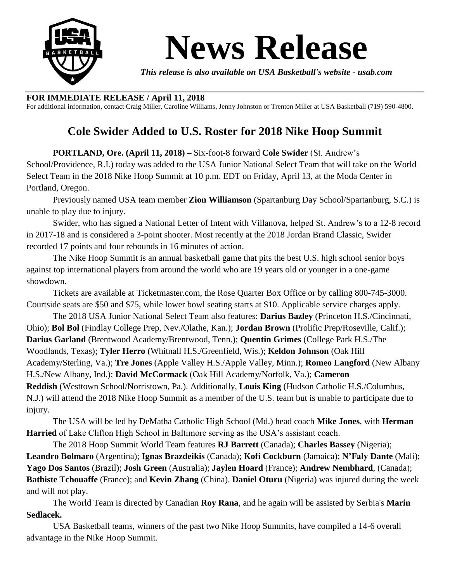

## **News Release**

*This release is also available on USA Basketball's website - usab.com*

## **FOR IMMEDIATE RELEASE / April 11, 2018**

For additional information, contact Craig Miller, Caroline Williams, Jenny Johnston or Trenton Miller at USA Basketball (719) 590-4800.

## **Cole Swider Added to U.S. Roster for 2018 Nike Hoop Summit**

**PORTLAND, Ore. (April 11, 2018) –** Six-foot-8 forward **Cole Swider** (St. Andrew's School/Providence, R.I.) today was added to the USA Junior National Select Team that will take on the World Select Team in the 2018 Nike Hoop Summit at 10 p.m. EDT on Friday, April 13, at the Moda Center in Portland, Oregon.

Previously named USA team member **Zion Williamson** (Spartanburg Day School/Spartanburg, S.C.) is unable to play due to injury.

Swider, who has signed a National Letter of Intent with Villanova, helped St. Andrew's to a 12-8 record in 2017-18 and is considered a 3-point shooter. Most recently at the 2018 Jordan Brand Classic, Swider recorded 17 points and four rebounds in 16 minutes of action.

The Nike Hoop Summit is an annual basketball game that pits the best U.S. high school senior boys against top international players from around the world who are 19 years old or younger in a one-game showdown.

Tickets are available at [Ticketmaster.com,](https://www1.ticketmaster.com/nike-hoop-summit-portland-oregon-04-13-2018/event/0F0053929D891B2D?artistid=24920&majorcatid=10004&minorcatid=7&tm_link=artist_msg-0_0F0053929D891B2D) the Rose Quarter Box Office or by calling 800-745-3000. Courtside seats are \$50 and \$75, while lower bowl seating starts at \$10. Applicable service charges apply.

The 2018 USA Junior National Select Team also features: **Darius Bazley** (Princeton H.S./Cincinnati, Ohio); **Bol Bol** (Findlay College Prep, Nev./Olathe, Kan.); **Jordan Brown** (Prolific Prep/Roseville, Calif.); **Darius Garland** (Brentwood Academy/Brentwood, Tenn.); **Quentin Grimes** (College Park H.S./The Woodlands, Texas); **Tyler Herro** (Whitnall H.S./Greenfield, Wis.); **Keldon Johnson** (Oak Hill Academy/Sterling, Va.); **Tre Jones** (Apple Valley H.S./Apple Valley, Minn.); **Romeo Langford** (New Albany H.S./New Albany, Ind.); **David McCormack** (Oak Hill Academy/Norfolk, Va.); **Cameron Reddish** (Westtown School/Norristown, Pa.). Additionally, **Louis King** (Hudson Catholic H.S./Columbus, N.J.) will attend the 2018 Nike Hoop Summit as a member of the U.S. team but is unable to participate due to injury.

The USA will be led by DeMatha Catholic High School (Md.) head coach **Mike Jones**, with **Herman Harried** of Lake Clifton High School in Baltimore serving as the USA's assistant coach.

The 2018 Hoop Summit World Team features **RJ Barrett** (Canada); **Charles Bassey** (Nigeria); **Leandro Bolmaro** (Argentina); **Ignas Brazdeikis** (Canada); **Kofi Cockburn** (Jamaica); **N'Faly Dante** (Mali); **Yago Dos Santos** (Brazil); **Josh Green** (Australia); **Jaylen Hoard** (France); **Andrew Nembhard**, (Canada); **Bathiste Tchouaffe** (France); and **Kevin Zhang** (China). **Daniel Oturu** (Nigeria) was injured during the week and will not play.

The World Team is directed by Canadian **Roy Rana**, and he again will be assisted by Serbia's **Marin Sedlacek.**

USA Basketball teams, winners of the past two Nike Hoop Summits, have compiled a 14-6 overall advantage in the Nike Hoop Summit.